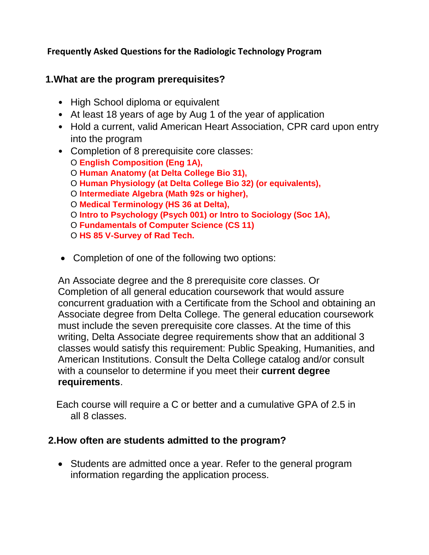### **Frequently Asked Questions for the Radiologic Technology Program**

### **1.What are the program prerequisites?**

- High School diploma or equivalent
- At least 18 years of age by Aug 1 of the year of application
- Hold a current, valid American Heart Association, CPR card upon entry into the program
- Completion of 8 prerequisite core classes: O **English Composition (Eng 1A),** O **Human Anatomy (at Delta College Bio 31),** O **Human Physiology (at Delta College Bio 32) (or equivalents),** O **Intermediate Algebra (Math 92s or higher),** O **Medical Terminology (HS 36 at Delta),** O **Intro to Psychology (Psych 001) or Intro to Sociology (Soc 1A),** O **Fundamentals of Computer Science (CS 11)** O **HS 85 V-Survey of Rad Tech.**
- Completion of one of the following two options:

An Associate degree and the 8 prerequisite core classes. Or Completion of all general education coursework that would assure concurrent graduation with a Certificate from the School and obtaining an Associate degree from Delta College. The general education coursework must include the seven prerequisite core classes. At the time of this writing, Delta Associate degree requirements show that an additional 3 classes would satisfy this requirement: Public Speaking, Humanities, and American Institutions. Consult the Delta College catalog and/or consult with a counselor to determine if you meet their **current degree requirements**.

 Each course will require a C or better and a cumulative GPA of 2.5 in all 8 classes.

### **2.How often are students admitted to the program?**

• Students are admitted once a year. Refer to the general program information regarding the application process.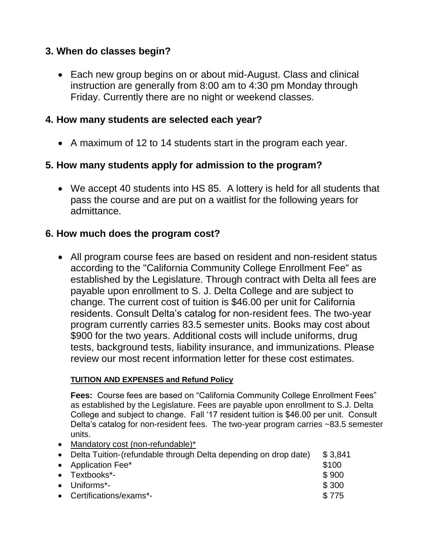### **3. When do classes begin?**

• Each new group begins on or about mid-August. Class and clinical instruction are generally from 8:00 am to 4:30 pm Monday through Friday. Currently there are no night or weekend classes.

### **4. How many students are selected each year?**

• A maximum of 12 to 14 students start in the program each year.

# **5. How many students apply for admission to the program?**

• We accept 40 students into HS 85. A lottery is held for all students that pass the course and are put on a waitlist for the following years for admittance.

## **6. How much does the program cost?**

• All program course fees are based on resident and non-resident status according to the "California Community College Enrollment Fee" as established by the Legislature. Through contract with Delta all fees are payable upon enrollment to S. J. Delta College and are subject to change. The current cost of tuition is \$46.00 per unit for California residents. Consult Delta's catalog for non-resident fees. The two-year program currently carries 83.5 semester units. Books may cost about \$900 for the two years. Additional costs will include uniforms, drug tests, background tests, liability insurance, and immunizations. Please review our most recent information letter for these cost estimates.

#### **TUITION AND EXPENSES and Refund Policy**

**Fees:** Course fees are based on "California Community College Enrollment Fees" as established by the Legislature. Fees are payable upon enrollment to S.J. Delta College and subject to change. Fall '17 resident tuition is \$46.00 per unit. Consult Delta's catalog for non-resident fees. The two-year program carries ~83.5 semester units.

• Mandatory cost (non-refundable)\*

| • Delta Tuition-(refundable through Delta depending on drop date) | \$3.841 |
|-------------------------------------------------------------------|---------|
| • Application Fee*                                                | \$100   |
| $\bullet$ Textbooks*-                                             | \$900   |
| $\bullet$ Uniforms*-                                              | \$300   |
| • Certifications/exams*-                                          | \$775   |
|                                                                   |         |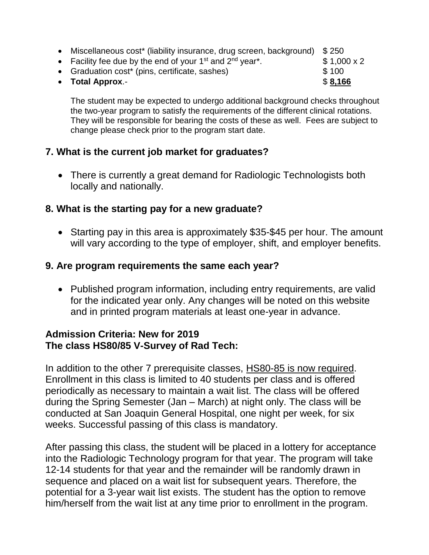- Miscellaneous cost\* (liability insurance, drug screen, background) \$250
- Facility fee due by the end of your 1<sup>st</sup> and  $2^{nd}$  year<sup>\*</sup>.  $\qquad$  \$1,000 x 2
- Graduation cost\* (pins, certificate, sashes) \$ 100

• **Total Approx**.-  $$8,166$ 

The student may be expected to undergo additional background checks throughout the two-year program to satisfy the requirements of the different clinical rotations. They will be responsible for bearing the costs of these as well. Fees are subject to change please check prior to the program start date.

# **7. What is the current job market for graduates?**

• There is currently a great demand for Radiologic Technologists both locally and nationally.

# **8. What is the starting pay for a new graduate?**

• Starting pay in this area is approximately \$35-\$45 per hour. The amount will vary according to the type of employer, shift, and employer benefits.

## **9. Are program requirements the same each year?**

• Published program information, including entry requirements, are valid for the indicated year only. Any changes will be noted on this website and in printed program materials at least one-year in advance.

## **Admission Criteria: New for 2019 The class HS80/85 V-Survey of Rad Tech:**

In addition to the other 7 prerequisite classes, HS80-85 is now required. Enrollment in this class is limited to 40 students per class and is offered periodically as necessary to maintain a wait list. The class will be offered during the Spring Semester (Jan – March) at night only. The class will be conducted at San Joaquin General Hospital, one night per week, for six weeks. Successful passing of this class is mandatory.

After passing this class, the student will be placed in a lottery for acceptance into the Radiologic Technology program for that year. The program will take 12-14 students for that year and the remainder will be randomly drawn in sequence and placed on a wait list for subsequent years. Therefore, the potential for a 3-year wait list exists. The student has the option to remove him/herself from the wait list at any time prior to enrollment in the program.